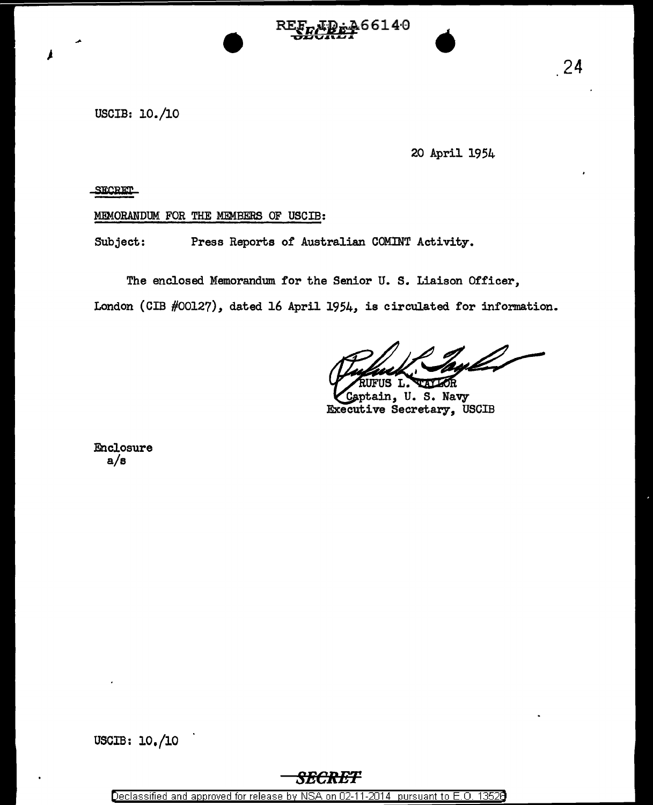ምይቅቃ66140

USCIB: 10./10

20 April 1954

**SECRET** 

 $\overline{\mu}$ 

MEMORANDUM FOR THE MEMBERS OF USCIB:

Subject: Press Reports of Australian COMINT Activity.

The enclosed Memorandum for the Senior U. S. Liaison Officer,

London (GIB #00127), dated 16 April 1954, is circulated for information.

TALLOR RUFUS L.

Captain, U. S. Navy Executive Secretary, USCIB

Enclosure a/s

USCIB: 10./10

## *8BCRET*

Declassified and approved for release by NSA on 02-11-2014 pursuant to E.O. 1352B